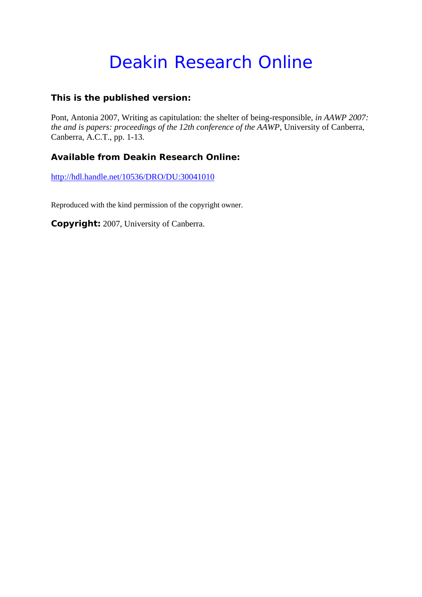# Deakin Research Online

# **This is the published version:**

Pont, Antonia 2007, Writing as capitulation: the shelter of being-responsible*, in AAWP 2007: the and is papers: proceedings of the 12th conference of the AAWP*, University of Canberra, Canberra, A.C.T., pp. 1-13.

# **Available from Deakin Research Online:**

http://hdl.handle.net/10536/DRO/DU:30041010

Reproduced with the kind permission of the copyright owner.

**Copyright:** 2007, University of Canberra.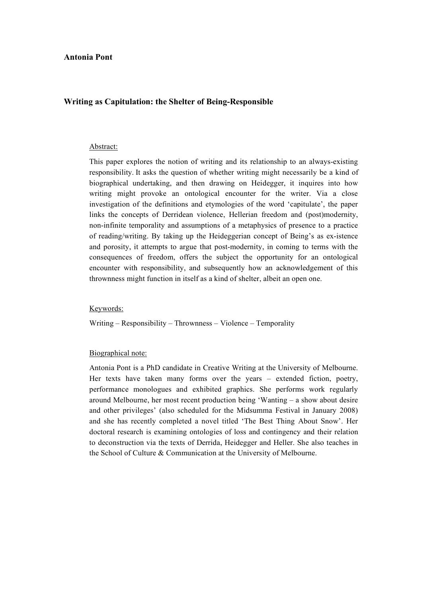#### **Antonia Pont**

#### **Writing as Capitulation: the Shelter of Being-Responsible**

#### Abstract:

This paper explores the notion of writing and its relationship to an always-existing responsibility. It asks the question of whether writing might necessarily be a kind of biographical undertaking, and then drawing on Heidegger, it inquires into how writing might provoke an ontological encounter for the writer. Via a close investigation of the definitions and etymologies of the word 'capitulate', the paper links the concepts of Derridean violence, Hellerian freedom and (post)modernity, non-infinite temporality and assumptions of a metaphysics of presence to a practice of reading/writing. By taking up the Heideggerian concept of Being's as ex-istence and porosity, it attempts to argue that post-modernity, in coming to terms with the consequences of freedom, offers the subject the opportunity for an ontological encounter with responsibility, and subsequently how an acknowledgement of this thrownness might function in itself as a kind of shelter, albeit an open one.

#### Keywords:

Writing – Responsibility – Thrownness – Violence – Temporality

#### Biographical note:

Antonia Pont is a PhD candidate in Creative Writing at the University of Melbourne. Her texts have taken many forms over the years – extended fiction, poetry, performance monologues and exhibited graphics. She performs work regularly around Melbourne, her most recent production being 'Wanting – a show about desire and other privileges' (also scheduled for the Midsumma Festival in January 2008) and she has recently completed a novel titled 'The Best Thing About Snow'. Her doctoral research is examining ontologies of loss and contingency and their relation to deconstruction via the texts of Derrida, Heidegger and Heller. She also teaches in the School of Culture & Communication at the University of Melbourne.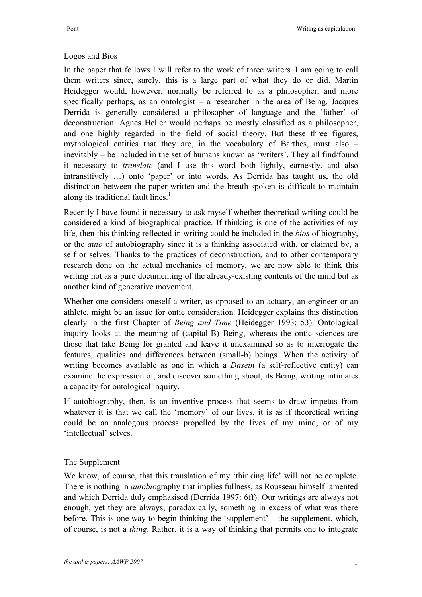## Logos and Bios

In the paper that follows I will refer to the work of three writers. I am going to call them writers since, surely, this is a large part of what they do or did. Martin Heidegger would, however, normally be referred to as a philosopher, and more specifically perhaps, as an ontologist – a researcher in the area of Being. Jacques Derrida is generally considered a philosopher of language and the 'father' of deconstruction. Agnes Heller would perhaps be mostly classified as a philosopher, and one highly regarded in the field of social theory. But these three figures, mythological entities that they are, in the vocabulary of Barthes, must also – inevitably – be included in the set of humans known as 'writers'. They all find/found it necessary to *translate* (and I use this word both lightly, earnestly, and also intransitively …) onto 'paper' or into words. As Derrida has taught us, the old distinction between the paper-written and the breath-spoken is difficult to maintain along its traditional fault lines.<sup>1</sup>

Recently I have found it necessary to ask myself whether theoretical writing could be considered a kind of biographical practice. If thinking is one of the activities of my life, then this thinking reflected in writing could be included in the *bios* of biography, or the *auto* of autobiography since it is a thinking associated with, or claimed by, a self or selves. Thanks to the practices of deconstruction, and to other contemporary research done on the actual mechanics of memory, we are now able to think this writing not as a pure documenting of the already-existing contents of the mind but as another kind of generative movement.

Whether one considers oneself a writer, as opposed to an actuary, an engineer or an athlete, might be an issue for ontic consideration. Heidegger explains this distinction clearly in the first Chapter of *Being and Time* (Heidegger 1993: 53). Ontological inquiry looks at the meaning of (capital-B) Being, whereas the ontic sciences are those that take Being for granted and leave it unexamined so as to interrogate the features, qualities and differences between (small-b) beings. When the activity of writing becomes available as one in which a *Dasein* (a self-reflective entity) can examine the expression of, and discover something about, its Being, writing intimates a capacity for ontological inquiry.

If autobiography, then, is an inventive process that seems to draw impetus from whatever it is that we call the 'memory' of our lives, it is as if theoretical writing could be an analogous process propelled by the lives of my mind, or of my 'intellectual' selves.

# The Supplement

We know, of course, that this translation of my 'thinking life' will not be complete. There is nothing in *autobio*graphy that implies fullness, as Rousseau himself lamented and which Derrida duly emphasised (Derrida 1997: 6ff). Our writings are always not enough, yet they are always, paradoxically, something in excess of what was there before. This is one way to begin thinking the 'supplement' – the supplement, which, of course, is not a *thing*. Rather, it is a way of thinking that permits one to integrate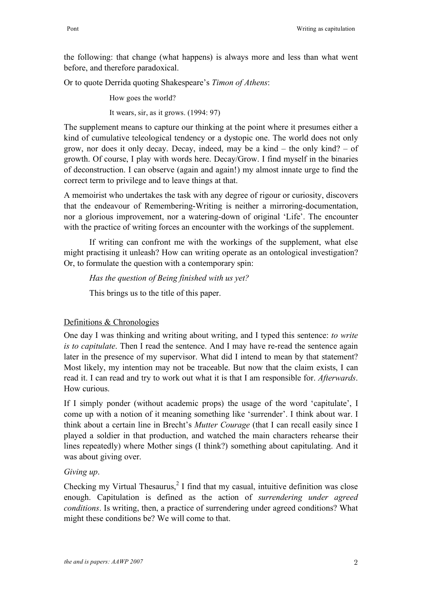the following: that change (what happens) is always more and less than what went before, and therefore paradoxical.

Or to quote Derrida quoting Shakespeare's *Timon of Athens*:

How goes the world? It wears, sir, as it grows. (1994: 97)

The supplement means to capture our thinking at the point where it presumes either a kind of cumulative teleological tendency or a dystopic one. The world does not only grow, nor does it only decay. Decay, indeed, may be a kind – the only kind? – of growth. Of course, I play with words here. Decay/Grow. I find myself in the binaries of deconstruction. I can observe (again and again!) my almost innate urge to find the correct term to privilege and to leave things at that.

A memoirist who undertakes the task with any degree of rigour or curiosity, discovers that the endeavour of Remembering-Writing is neither a mirroring-documentation, nor a glorious improvement, nor a watering-down of original 'Life'. The encounter with the practice of writing forces an encounter with the workings of the supplement.

If writing can confront me with the workings of the supplement, what else might practising it unleash? How can writing operate as an ontological investigation? Or, to formulate the question with a contemporary spin:

*Has the question of Being finished with us yet?*

This brings us to the title of this paper.

### Definitions & Chronologies

One day I was thinking and writing about writing, and I typed this sentence: *to write is to capitulate*. Then I read the sentence. And I may have re-read the sentence again later in the presence of my supervisor. What did I intend to mean by that statement? Most likely, my intention may not be traceable. But now that the claim exists, I can read it. I can read and try to work out what it is that I am responsible for. *Afterwards*. How curious.

If I simply ponder (without academic props) the usage of the word 'capitulate', I come up with a notion of it meaning something like 'surrender'. I think about war. I think about a certain line in Brecht's *Mutter Courage* (that I can recall easily since I played a soldier in that production, and watched the main characters rehearse their lines repeatedly) where Mother sings (I think?) something about capitulating. And it was about giving over.

### *Giving up*.

Checking my Virtual Thesaurus, $2 \text{ I}$  find that my casual, intuitive definition was close enough. Capitulation is defined as the action of *surrendering under agreed conditions*. Is writing, then, a practice of surrendering under agreed conditions? What might these conditions be? We will come to that.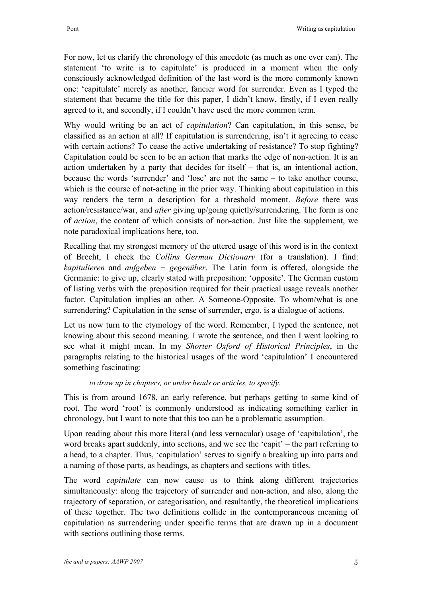For now, let us clarify the chronology of this anecdote (as much as one ever can). The statement 'to write is to capitulate' is produced in a moment when the only consciously acknowledged definition of the last word is the more commonly known one: 'capitulate' merely as another, fancier word for surrender. Even as I typed the statement that became the title for this paper, I didn't know, firstly, if I even really agreed to it, and secondly, if I couldn't have used the more common term.

Why would writing be an act of *capitulation*? Can capitulation, in this sense, be classified as an action at all? If capitulation is surrendering, isn't it agreeing to cease with certain actions? To cease the active undertaking of resistance? To stop fighting? Capitulation could be seen to be an action that marks the edge of non-action. It is an action undertaken by a party that decides for itself – that is, an intentional action, because the words 'surrender' and 'lose' are not the same – to take another course, which is the course of not-acting in the prior way. Thinking about capitulation in this way renders the term a description for a threshold moment. *Before* there was action/resistance/war, and *after* giving up/going quietly/surrendering. The form is one of *action*, the content of which consists of non-action. Just like the supplement, we note paradoxical implications here, too.

Recalling that my strongest memory of the uttered usage of this word is in the context of Brecht, I check the *Collins German Dictionary* (for a translation). I find: *kapitulieren* and *aufgeben + gegenüber*. The Latin form is offered, alongside the Germanic: to give up, clearly stated with preposition: 'opposite'. The German custom of listing verbs with the preposition required for their practical usage reveals another factor. Capitulation implies an other. A Someone-Opposite. To whom/what is one surrendering? Capitulation in the sense of surrender, ergo, is a dialogue of actions.

Let us now turn to the etymology of the word. Remember, I typed the sentence, not knowing about this second meaning. I wrote the sentence, and then I went looking to see what it might mean. In my *Shorter Oxford of Historical Principles*, in the paragraphs relating to the historical usages of the word 'capitulation' I encountered something fascinating:

### *to draw up in chapters, or under heads or articles, to specify.*

This is from around 1678, an early reference, but perhaps getting to some kind of root. The word 'root' is commonly understood as indicating something earlier in chronology, but I want to note that this too can be a problematic assumption.

Upon reading about this more literal (and less vernacular) usage of 'capitulation', the word breaks apart suddenly, into sections, and we see the 'capit' – the part referring to a head, to a chapter. Thus, 'capitulation' serves to signify a breaking up into parts and a naming of those parts, as headings, as chapters and sections with titles.

The word *capitulate* can now cause us to think along different trajectories simultaneously: along the trajectory of surrender and non-action, and also, along the trajectory of separation, or categorisation, and resultantly, the theoretical implications of these together. The two definitions collide in the contemporaneous meaning of capitulation as surrendering under specific terms that are drawn up in a document with sections outlining those terms.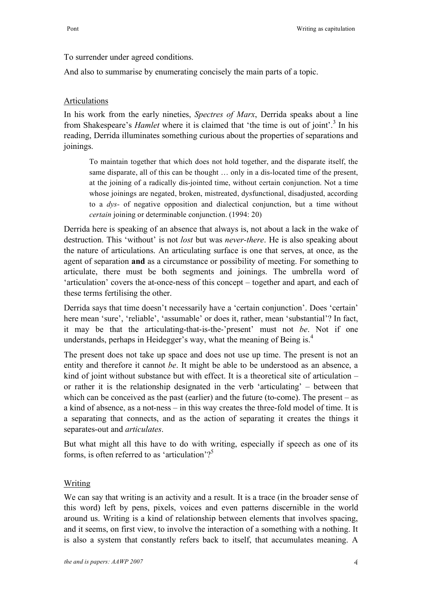## To surrender under agreed conditions.

And also to summarise by enumerating concisely the main parts of a topic.

## Articulations

In his work from the early nineties, *Spectres of Marx*, Derrida speaks about a line from Shakespeare's *Hamlet* where it is claimed that 'the time is out of joint'. <sup>3</sup> In his reading, Derrida illuminates something curious about the properties of separations and joinings.

To maintain together that which does not hold together, and the disparate itself, the same disparate, all of this can be thought … only in a dis-located time of the present, at the joining of a radically dis-jointed time, without certain conjunction. Not a time whose joinings are negated, broken, mistreated, dysfunctional, disadjusted, according to a *dys-* of negative opposition and dialectical conjunction, but a time without *certain* joining or determinable conjunction. (1994: 20)

Derrida here is speaking of an absence that always is, not about a lack in the wake of destruction. This 'without' is not *lost* but was *never-there*. He is also speaking about the nature of articulations. An articulating surface is one that serves, at once, as the agent of separation **and** as a circumstance or possibility of meeting. For something to articulate, there must be both segments and joinings. The umbrella word of 'articulation' covers the at-once-ness of this concept – together and apart, and each of these terms fertilising the other.

Derrida says that time doesn't necessarily have a 'certain conjunction'. Does 'certain' here mean 'sure', 'reliable', 'assumable' or does it, rather, mean 'substantial'? In fact, it may be that the articulating-that-is-the-'present' must not *be*. Not if one understands, perhaps in Heidegger's way, what the meaning of Being is.<sup>4</sup>

The present does not take up space and does not use up time. The present is not an entity and therefore it cannot *be*. It might be able to be understood as an absence, a kind of joint without substance but with effect. It is a theoretical site of articulation – or rather it is the relationship designated in the verb 'articulating' – between that which can be conceived as the past (earlier) and the future (to-come). The present – as a kind of absence, as a not-ness – in this way creates the three-fold model of time. It is a separating that connects, and as the action of separating it creates the things it separates-out and *articulates*.

But what might all this have to do with writing, especially if speech as one of its forms, is often referred to as 'articulation'?<sup>5</sup>

# Writing

We can say that writing is an activity and a result. It is a trace (in the broader sense of this word) left by pens, pixels, voices and even patterns discernible in the world around us. Writing is a kind of relationship between elements that involves spacing, and it seems, on first view, to involve the interaction of a something with a nothing. It is also a system that constantly refers back to itself, that accumulates meaning. A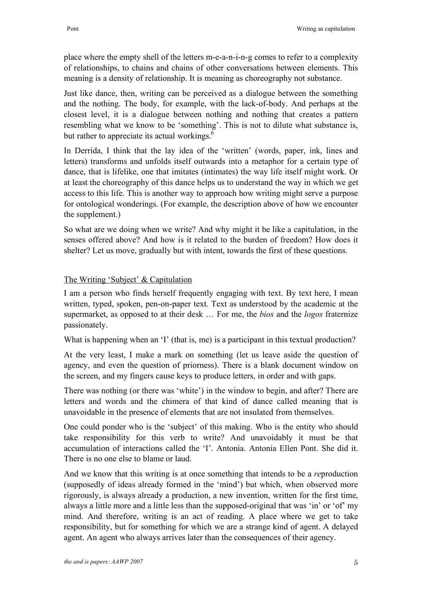place where the empty shell of the letters m-e-a-n-i-n-g comes to refer to a complexity of relationships, to chains and chains of other conversations between elements. This meaning is a density of relationship. It is meaning as choreography not substance.

Just like dance, then, writing can be perceived as a dialogue between the something and the nothing. The body, for example, with the lack-of-body. And perhaps at the closest level, it is a dialogue between nothing and nothing that creates a pattern resembling what we know to be 'something'. This is not to dilute what substance is, but rather to appreciate its actual workings.<sup>6</sup>

In Derrida, I think that the lay idea of the 'written' (words, paper, ink, lines and letters) transforms and unfolds itself outwards into a metaphor for a certain type of dance, that is lifelike, one that imitates (intimates) the way life itself might work. Or at least the choreography of this dance helps us to understand the way in which we get access to this life. This is another way to approach how writing might serve a purpose for ontological wonderings. (For example, the description above of how we encounter the supplement.)

So what are we doing when we write? And why might it be like a capitulation, in the senses offered above? And how is it related to the burden of freedom? How does it shelter? Let us move, gradually but with intent, towards the first of these questions.

#### The Writing 'Subject' & Capitulation

I am a person who finds herself frequently engaging with text. By text here, I mean written, typed, spoken, pen-on-paper text. Text as understood by the academic at the supermarket, as opposed to at their desk … For me, the *bios* and the *logos* fraternize passionately.

What is happening when an 'I' (that is, me) is a participant in this textual production?

At the very least, I make a mark on something (let us leave aside the question of agency, and even the question of priorness). There is a blank document window on the screen, and my fingers cause keys to produce letters, in order and with gaps.

There was nothing (or there was 'white') in the window to begin, and after? There are letters and words and the chimera of that kind of dance called meaning that is unavoidable in the presence of elements that are not insulated from themselves.

One could ponder who is the 'subject' of this making. Who is the entity who should take responsibility for this verb to write? And unavoidably it must be that accumulation of interactions called the 'I'. Antonia. Antonia Ellen Pont. She did it. There is no one else to blame or laud.

And we know that this writing is at once something that intends to be a *re*production (supposedly of ideas already formed in the 'mind') but which, when observed more rigorously, is always already a production, a new invention, written for the first time, always a little more and a little less than the supposed-original that was 'in' or 'of' my mind. And therefore, writing is an act of reading. A place where we get to take responsibility, but for something for which we are a strange kind of agent. A delayed agent. An agent who always arrives later than the consequences of their agency.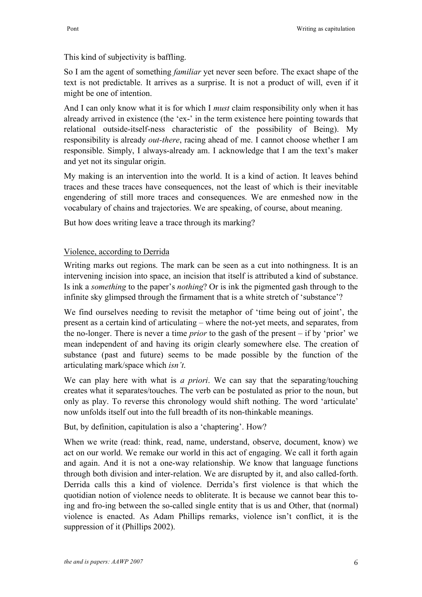This kind of subjectivity is baffling.

So I am the agent of something *familiar* yet never seen before. The exact shape of the text is not predictable. It arrives as a surprise. It is not a product of will, even if it might be one of intention.

And I can only know what it is for which I *must* claim responsibility only when it has already arrived in existence (the 'ex-' in the term existence here pointing towards that relational outside-itself-ness characteristic of the possibility of Being). My responsibility is already *out-there*, racing ahead of me. I cannot choose whether I am responsible. Simply, I always-already am. I acknowledge that I am the text's maker and yet not its singular origin.

My making is an intervention into the world. It is a kind of action. It leaves behind traces and these traces have consequences, not the least of which is their inevitable engendering of still more traces and consequences. We are enmeshed now in the vocabulary of chains and trajectories. We are speaking, of course, about meaning.

But how does writing leave a trace through its marking?

#### Violence, according to Derrida

Writing marks out regions. The mark can be seen as a cut into nothingness. It is an intervening incision into space, an incision that itself is attributed a kind of substance. Is ink a *something* to the paper's *nothing*? Or is ink the pigmented gash through to the infinite sky glimpsed through the firmament that is a white stretch of 'substance'?

We find ourselves needing to revisit the metaphor of 'time being out of joint', the present as a certain kind of articulating – where the not-yet meets, and separates, from the no-longer. There is never a time *prior* to the gash of the present – if by 'prior' we mean independent of and having its origin clearly somewhere else. The creation of substance (past and future) seems to be made possible by the function of the articulating mark/space which *isn't*.

We can play here with what is *a priori*. We can say that the separating/touching creates what it separates/touches. The verb can be postulated as prior to the noun, but only as play. To reverse this chronology would shift nothing. The word 'articulate' now unfolds itself out into the full breadth of its non-thinkable meanings.

But, by definition, capitulation is also a 'chaptering'. How?

When we write (read: think, read, name, understand, observe, document, know) we act on our world. We remake our world in this act of engaging. We call it forth again and again. And it is not a one-way relationship. We know that language functions through both division and inter-relation. We are disrupted by it, and also called-forth. Derrida calls this a kind of violence. Derrida's first violence is that which the quotidian notion of violence needs to obliterate. It is because we cannot bear this toing and fro-ing between the so-called single entity that is us and Other, that (normal) violence is enacted. As Adam Phillips remarks, violence isn't conflict, it is the suppression of it (Phillips 2002).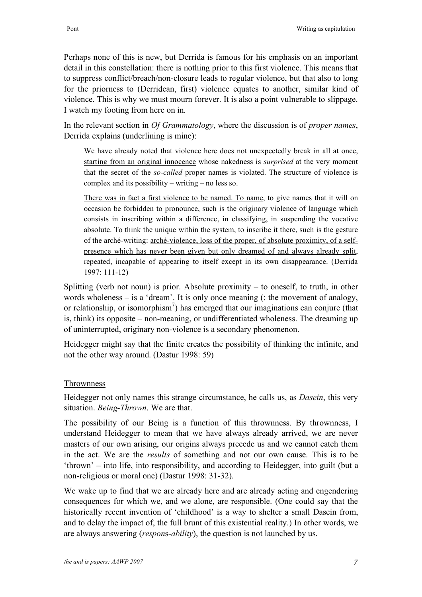Perhaps none of this is new, but Derrida is famous for his emphasis on an important detail in this constellation: there is nothing prior to this first violence. This means that to suppress conflict/breach/non-closure leads to regular violence, but that also to long for the priorness to (Derridean, first) violence equates to another, similar kind of violence. This is why we must mourn forever. It is also a point vulnerable to slippage. I watch my footing from here on in.

In the relevant section in *Of Grammatology*, where the discussion is of *proper names*, Derrida explains (underlining is mine):

We have already noted that violence here does not unexpectedly break in all at once, starting from an original innocence whose nakedness is *surprised* at the very moment that the secret of the *so-called* proper names is violated. The structure of violence is complex and its possibility – writing – no less so.

There was in fact a first violence to be named. To name, to give names that it will on occasion be forbidden to pronounce, such is the originary violence of language which consists in inscribing within a difference, in classifying, in suspending the vocative absolute. To think the unique within the system, to inscribe it there, such is the gesture of the arché-writing: arché-violence, loss of the proper, of absolute proximity, of a selfpresence which has never been given but only dreamed of and always already split, repeated, incapable of appearing to itself except in its own disappearance. (Derrida 1997: 111-12)

Splitting (verb not noun) is prior. Absolute proximity  $-$  to oneself, to truth, in other words wholeness – is a 'dream'. It is only once meaning (: the movement of analogy, or relationship, or isomorphism<sup>7</sup>) has emerged that our imaginations can conjure (that is, think) its opposite – non-meaning, or undifferentiated wholeness. The dreaming up of uninterrupted, originary non-violence is a secondary phenomenon.

Heidegger might say that the finite creates the possibility of thinking the infinite, and not the other way around. (Dastur 1998: 59)

#### Thrownness

Heidegger not only names this strange circumstance, he calls us, as *Dasein*, this very situation. *Being-Thrown*. We are that.

The possibility of our Being is a function of this thrownness. By thrownness, I understand Heidegger to mean that we have always already arrived, we are never masters of our own arising, our origins always precede us and we cannot catch them in the act. We are the *results* of something and not our own cause. This is to be 'thrown' – into life, into responsibility, and according to Heidegger, into guilt (but a non-religious or moral one) (Dastur 1998: 31-32).

We wake up to find that we are already here and are already acting and engendering consequences for which we, and we alone, are responsible. (One could say that the historically recent invention of 'childhood' is a way to shelter a small Dasein from, and to delay the impact of, the full brunt of this existential reality.) In other words, we are always answering (*respon*s-*ability*), the question is not launched by us.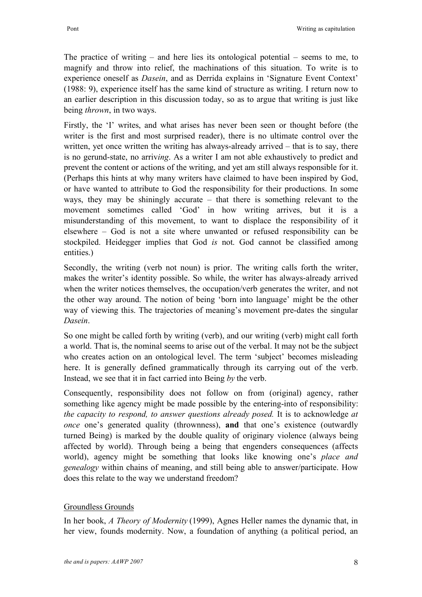The practice of writing – and here lies its ontological potential – seems to me, to magnify and throw into relief, the machinations of this situation. To write is to experience oneself as *Dasein*, and as Derrida explains in 'Signature Event Context' (1988: 9), experience itself has the same kind of structure as writing. I return now to an earlier description in this discussion today, so as to argue that writing is just like being *thrown*, in two ways.

Firstly, the 'I' writes, and what arises has never been seen or thought before (the writer is the first and most surprised reader), there is no ultimate control over the written, yet once written the writing has always-already arrived – that is to say, there is no gerund-state, no arriv*ing*. As a writer I am not able exhaustively to predict and prevent the content or actions of the writing, and yet am still always responsible for it. (Perhaps this hints at why many writers have claimed to have been inspired by God, or have wanted to attribute to God the responsibility for their productions. In some ways, they may be shiningly accurate – that there is something relevant to the movement sometimes called 'God' in how writing arrives, but it is a misunderstanding of this movement, to want to displace the responsibility of it elsewhere – God is not a site where unwanted or refused responsibility can be stockpiled. Heidegger implies that God *is* not. God cannot be classified among entities.)

Secondly, the writing (verb not noun) is prior. The writing calls forth the writer, makes the writer's identity possible. So while, the writer has always-already arrived when the writer notices themselves, the occupation/verb generates the writer, and not the other way around. The notion of being 'born into language' might be the other way of viewing this. The trajectories of meaning's movement pre-dates the singular *Dasein*.

So one might be called forth by writing (verb), and our writing (verb) might call forth a world. That is, the nominal seems to arise out of the verbal. It may not be the subject who creates action on an ontological level. The term 'subject' becomes misleading here. It is generally defined grammatically through its carrying out of the verb. Instead, we see that it in fact carried into Being *by* the verb.

Consequently, responsibility does not follow on from (original) agency, rather something like agency might be made possible by the entering-into of responsibility: *the capacity to respond, to answer questions already posed.* It is to acknowledge *at once* one's generated quality (thrownness), **and** that one's existence (outwardly turned Being) is marked by the double quality of originary violence (always being affected by world). Through being a being that engenders consequences (affects world), agency might be something that looks like knowing one's *place and genealogy* within chains of meaning, and still being able to answer/participate. How does this relate to the way we understand freedom?

### Groundless Grounds

In her book, *A Theory of Modernity* (1999), Agnes Heller names the dynamic that, in her view, founds modernity. Now, a foundation of anything (a political period, an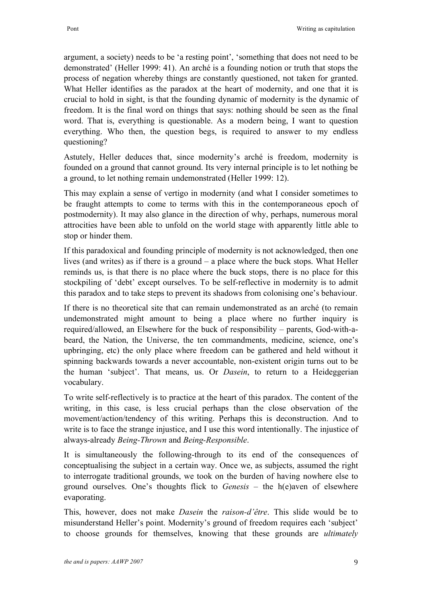argument, a society) needs to be 'a resting point', 'something that does not need to be demonstrated' (Heller 1999: 41). An arché is a founding notion or truth that stops the process of negation whereby things are constantly questioned, not taken for granted. What Heller identifies as the paradox at the heart of modernity, and one that it is crucial to hold in sight, is that the founding dynamic of modernity is the dynamic of freedom. It is the final word on things that says: nothing should be seen as the final word. That is, everything is questionable. As a modern being, I want to question everything. Who then, the question begs, is required to answer to my endless questioning?

Astutely, Heller deduces that, since modernity's arché is freedom, modernity is founded on a ground that cannot ground. Its very internal principle is to let nothing be a ground, to let nothing remain undemonstrated (Heller 1999: 12).

This may explain a sense of vertigo in modernity (and what I consider sometimes to be fraught attempts to come to terms with this in the contemporaneous epoch of postmodernity). It may also glance in the direction of why, perhaps, numerous moral attrocities have been able to unfold on the world stage with apparently little able to stop or hinder them.

If this paradoxical and founding principle of modernity is not acknowledged, then one lives (and writes) as if there is a ground – a place where the buck stops. What Heller reminds us, is that there is no place where the buck stops, there is no place for this stockpiling of 'debt' except ourselves. To be self-reflective in modernity is to admit this paradox and to take steps to prevent its shadows from colonising one's behaviour.

If there is no theoretical site that can remain undemonstrated as an arché (to remain undemonstrated might amount to being a place where no further inquiry is required/allowed, an Elsewhere for the buck of responsibility – parents, God-with-abeard, the Nation, the Universe, the ten commandments, medicine, science, one's upbringing, etc) the only place where freedom can be gathered and held without it spinning backwards towards a never accountable, non-existent origin turns out to be the human 'subject'. That means, us. Or *Dasein*, to return to a Heideggerian vocabulary.

To write self-reflectively is to practice at the heart of this paradox. The content of the writing, in this case, is less crucial perhaps than the close observation of the movement/action/tendency of this writing. Perhaps this is deconstruction. And to write is to face the strange injustice, and I use this word intentionally. The injustice of always-already *Being-Thrown* and *Being-Responsible*.

It is simultaneously the following-through to its end of the consequences of conceptualising the subject in a certain way. Once we, as subjects, assumed the right to interrogate traditional grounds, we took on the burden of having nowhere else to ground ourselves. One's thoughts flick to *Genesis* – the h(e)aven of elsewhere evaporating.

This, however, does not make *Dasein* the *raison-d'être*. This slide would be to misunderstand Heller's point. Modernity's ground of freedom requires each 'subject' to choose grounds for themselves, knowing that these grounds are *ultimately*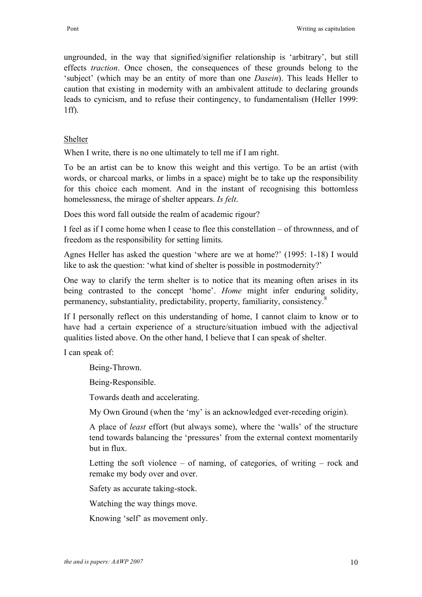ungrounded, in the way that signified/signifier relationship is 'arbitrary', but still effects *traction*. Once chosen, the consequences of these grounds belong to the 'subject' (which may be an entity of more than one *Dasein*). This leads Heller to caution that existing in modernity with an ambivalent attitude to declaring grounds leads to cynicism, and to refuse their contingency, to fundamentalism (Heller 1999: 1ff).

Shelter

When I write, there is no one ultimately to tell me if I am right.

To be an artist can be to know this weight and this vertigo. To be an artist (with words, or charcoal marks, or limbs in a space) might be to take up the responsibility for this choice each moment. And in the instant of recognising this bottomless homelessness, the mirage of shelter appears. *Is felt*.

Does this word fall outside the realm of academic rigour?

I feel as if I come home when I cease to flee this constellation – of thrownness, and of freedom as the responsibility for setting limits.

Agnes Heller has asked the question 'where are we at home?' (1995: 1-18) I would like to ask the question: 'what kind of shelter is possible in postmodernity?'

One way to clarify the term shelter is to notice that its meaning often arises in its being contrasted to the concept 'home'. *Home* might infer enduring solidity, permanency, substantiality, predictability, property, familiarity, consistency.<sup>8</sup>

If I personally reflect on this understanding of home, I cannot claim to know or to have had a certain experience of a structure/situation imbued with the adjectival qualities listed above. On the other hand, I believe that I can speak of shelter.

I can speak of:

Being-Thrown.

Being-Responsible.

Towards death and accelerating.

My Own Ground (when the 'my' is an acknowledged ever-receding origin).

A place of *least* effort (but always some), where the 'walls' of the structure tend towards balancing the 'pressures' from the external context momentarily but in flux.

Letting the soft violence – of naming, of categories, of writing – rock and remake my body over and over.

Safety as accurate taking-stock.

Watching the way things move.

Knowing 'self' as movement only.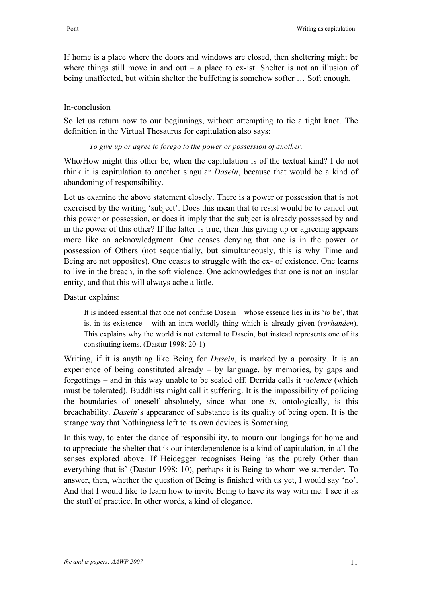If home is a place where the doors and windows are closed, then sheltering might be where things still move in and out – a place to ex-ist. Shelter is not an illusion of being unaffected, but within shelter the buffeting is somehow softer … Soft enough.

#### In-conclusion

So let us return now to our beginnings, without attempting to tie a tight knot. The definition in the Virtual Thesaurus for capitulation also says:

#### *To give up or agree to forego to the power or possession of another.*

Who/How might this other be, when the capitulation is of the textual kind? I do not think it is capitulation to another singular *Dasein*, because that would be a kind of abandoning of responsibility.

Let us examine the above statement closely. There is a power or possession that is not exercised by the writing 'subject'. Does this mean that to resist would be to cancel out this power or possession, or does it imply that the subject is already possessed by and in the power of this other? If the latter is true, then this giving up or agreeing appears more like an acknowledgment. One ceases denying that one is in the power or possession of Others (not sequentially, but simultaneously, this is why Time and Being are not opposites). One ceases to struggle with the ex- of existence. One learns to live in the breach, in the soft violence. One acknowledges that one is not an insular entity, and that this will always ache a little.

Dastur explains:

It is indeed essential that one not confuse Dasein – whose essence lies in its '*to* be', that is, in its existence – with an intra-worldly thing which is already given (*vorhanden*). This explains why the world is not external to Dasein, but instead represents one of its constituting items. (Dastur 1998: 20-1)

Writing, if it is anything like Being for *Dasein*, is marked by a porosity. It is an experience of being constituted already – by language, by memories, by gaps and forgettings – and in this way unable to be sealed off. Derrida calls it *violence* (which must be tolerated). Buddhists might call it suffering. It is the impossibility of policing the boundaries of oneself absolutely, since what one *is*, ontologically, is this breachability. *Dasein*'s appearance of substance is its quality of being open. It is the strange way that Nothingness left to its own devices is Something.

In this way, to enter the dance of responsibility, to mourn our longings for home and to appreciate the shelter that is our interdependence is a kind of capitulation, in all the senses explored above. If Heidegger recognises Being 'as the purely Other than everything that is' (Dastur 1998: 10), perhaps it is Being to whom we surrender. To answer, then, whether the question of Being is finished with us yet, I would say 'no'. And that I would like to learn how to invite Being to have its way with me. I see it as the stuff of practice. In other words, a kind of elegance.